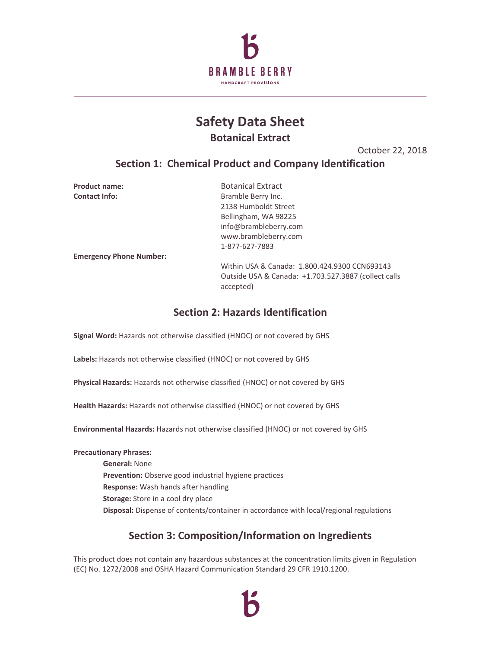

# **Safety Data Sheet Botanical Extract**

October 22, 2018

# **Section 1: Chemical Product and Company Identification**

| <b>Product name:</b>           | <b>Botanical Extract</b>                                          |
|--------------------------------|-------------------------------------------------------------------|
| <b>Contact Info:</b>           | Bramble Berry Inc.                                                |
|                                | 2138 Humboldt Street                                              |
|                                | Bellingham, WA 98225                                              |
|                                | info@brambleberry.com                                             |
|                                | www.brambleberry.com                                              |
|                                | 1-877-627-7883                                                    |
| <b>Emergency Phone Number:</b> |                                                                   |
|                                | Within USA & Canada: 1.800.424.9300 CCN693143                     |
|                                | Outside USA & Canada: +1.703.527.3887 (collect calls<br>accepted) |

# **Section 2: Hazards Identification**

**Signal Word:** Hazards not otherwise classified (HNOC) or not covered by GHS

**Labels:** Hazards not otherwise classified (HNOC) or not covered by GHS

**Physical Hazards:** Hazards not otherwise classified (HNOC) or not covered by GHS

**Health Hazards:** Hazards not otherwise classified (HNOC) or not covered by GHS

**Environmental Hazards:** Hazards not otherwise classified (HNOC) or not covered by GHS

### **Precautionary Phrases:**

**General:** None **Prevention:** Observe good industrial hygiene practices **Response:** Wash hands after handling **Storage:** Store in a cool dry place **Disposal:** Dispense of contents/container in accordance with local/regional regulations

# **Section 3: Composition/Information on Ingredients**

This product does not contain any hazardous substances at the concentration limits given in Regulation (EC) No. 1272/2008 and OSHA Hazard Communication Standard 29 CFR 1910.1200.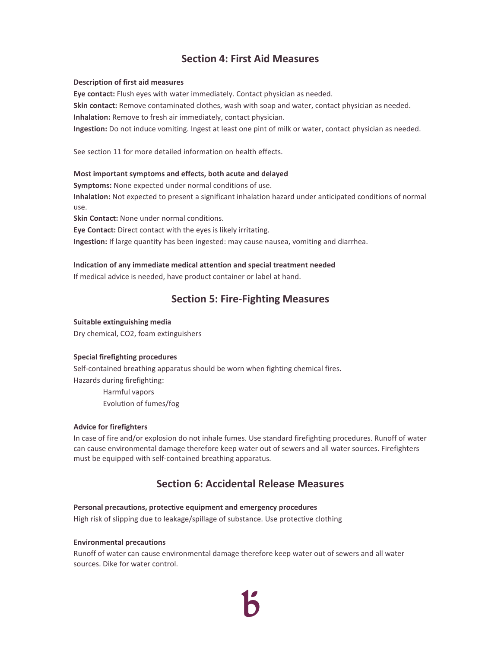# **Section 4: First Aid Measures**

#### **Description of first aid measures**

**Eye contact:** Flush eyes with water immediately. Contact physician as needed.

**Skin contact:** Remove contaminated clothes, wash with soap and water, contact physician as needed.

**Inhalation:** Remove to fresh air immediately, contact physician.

**Ingestion:** Do not induce vomiting. Ingest at least one pint of milk or water, contact physician as needed.

See section 11 for more detailed information on health effects.

### **Most important symptoms and effects, both acute and delayed**

**Symptoms:** None expected under normal conditions of use.

**Inhalation:** Not expected to present a significant inhalation hazard under anticipated conditions of normal use.

**Skin Contact:** None under normal conditions.

**Eye Contact:** Direct contact with the eyes is likely irritating.

**Ingestion:** If large quantity has been ingested: may cause nausea, vomiting and diarrhea.

### **Indication of any immediate medical attention and special treatment needed**

If medical advice is needed, have product container or label at hand.

### **Section 5: Fire-Fighting Measures**

### **Suitable extinguishing media**

Dry chemical, CO2, foam extinguishers

### **Special firefighting procedures**

Self-contained breathing apparatus should be worn when fighting chemical fires. Hazards during firefighting:

> Harmful vapors Evolution of fumes/fog

### **Advice for firefighters**

In case of fire and/or explosion do not inhale fumes. Use standard firefighting procedures. Runoff of water can cause environmental damage therefore keep water out of sewers and all water sources. Firefighters must be equipped with self-contained breathing apparatus.

### **Section 6: Accidental Release Measures**

### **Personal precautions, protective equipment and emergency procedures**

High risk of slipping due to leakage/spillage of substance. Use protective clothing

#### **Environmental precautions**

Runoff of water can cause environmental damage therefore keep water out of sewers and all water sources. Dike for water control.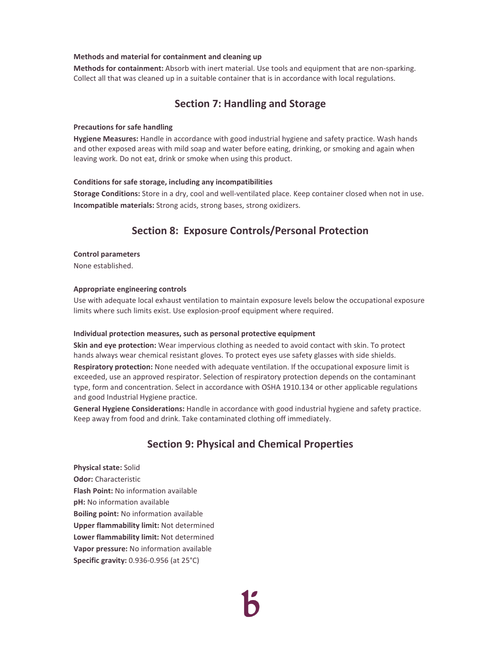#### **Methods and material for containment and cleaning up**

**Methods for containment:** Absorb with inert material. Use tools and equipment that are non-sparking. Collect all that was cleaned up in a suitable container that is in accordance with local regulations.

# **Section 7: Handling and Storage**

#### **Precautions for safe handling**

**Hygiene Measures:** Handle in accordance with good industrial hygiene and safety practice. Wash hands and other exposed areas with mild soap and water before eating, drinking, or smoking and again when leaving work. Do not eat, drink or smoke when using this product.

#### **Conditions for safe storage, including any incompatibilities**

**Storage Conditions:** Store in a dry, cool and well-ventilated place. Keep container closed when not in use. **Incompatible materials:** Strong acids, strong bases, strong oxidizers.

### **Section 8: Exposure Controls/Personal Protection**

#### **Control parameters**

None established.

#### **Appropriate engineering controls**

Use with adequate local exhaust ventilation to maintain exposure levels below the occupational exposure limits where such limits exist. Use explosion-proof equipment where required.

#### **Individual protection measures, such as personal protective equipment**

**Skin and eye protection:** Wear impervious clothing as needed to avoid contact with skin. To protect hands always wear chemical resistant gloves. To protect eyes use safety glasses with side shields. **Respiratory protection:** None needed with adequate ventilation. If the occupational exposure limit is exceeded, use an approved respirator. Selection of respiratory protection depends on the contaminant type, form and concentration. Select in accordance with OSHA 1910.134 or other applicable regulations and good Industrial Hygiene practice.

**General Hygiene Considerations:** Handle in accordance with good industrial hygiene and safety practice. Keep away from food and drink. Take contaminated clothing off immediately.

### **Section 9: Physical and Chemical Properties**

**Physical state:** Solid **Odor:** Characteristic **Flash Point:** No information available **pH:** No information available **Boiling point:** No information available **Upper flammability limit:** Not determined **Lower flammability limit:** Not determined **Vapor pressure:** No information available **Specific gravity:** 0.936-0.956 (at 25°C)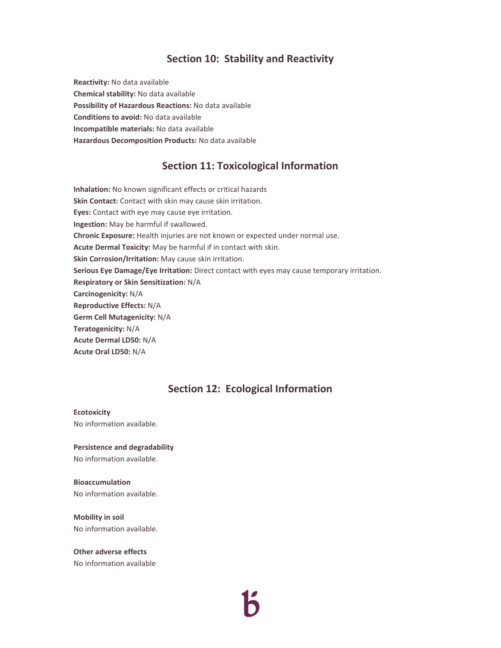### **Section 10: Stability and Reactivity**

**Reactivity:** No data available **Chemical stability:** No data available **Possibility of Hazardous Reactions:** No data available **Conditions to avoid:** No data available **Incompatible materials:** No data available **Hazardous Decomposition Products:** No data available

### **Section 11: Toxicological Information**

**Inhalation:** No known significant effects or critical hazards **Skin Contact:** Contact with skin may cause skin irritation. **Eyes:** Contact with eye may cause eye irritation. **Ingestion:** May be harmful if swallowed. **Chronic Exposure:** Health injuries are not known or expected under normal use. **Acute Dermal Toxicity:** May be harmful if in contact with skin. **Skin Corrosion/Irritation:** May cause skin irritation. **Serious Eye Damage/Eye Irritation:** Direct contact with eyes may cause temporary irritation. **Respiratory or Skin Sensitization:** N/A **Carcinogenicity:** N/A **Reproductive Effects:** N/A **Germ Cell Mutagenicity:** N/A **Teratogenicity:** N/A **Acute Dermal LD50:** N/A **Acute Oral LD50:** N/A

### **Section 12: Ecological Information**

#### **Ecotoxicity**

No information available.

**Persistence and degradability**  No information available.

**Bioaccumulation**  No information available.

**Mobility in soil** No information available.

**Other adverse effects**  No information available